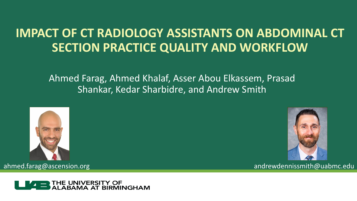# **IMPACT OF CT RADIOLOGY ASSISTANTS ON ABDOMINAL CT SECTION PRACTICE QUALITY AND WORKFLOW**

Ahmed Farag, Ahmed Khalaf, Asser Abou Elkassem, Prasad Shankar, Kedar Sharbidre, and Andrew Smith







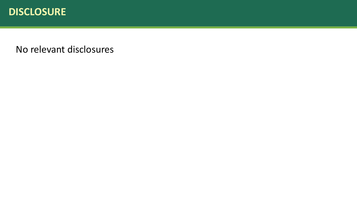

No relevant disclosures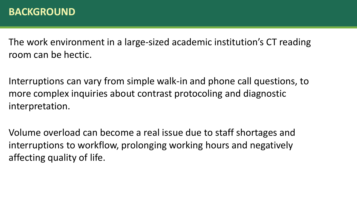### **BACKGROUND**

The work environment in a large-sized academic institution's CT reading room can be hectic.

Interruptions can vary from simple walk-in and phone call questions, to more complex inquiries about contrast protocoling and diagnostic interpretation.

Volume overload can become a real issue due to staff shortages and interruptions to workflow, prolonging working hours and negatively affecting quality of life.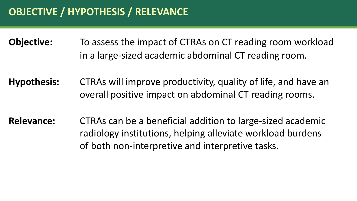**Objective:** To assess the impact of CTRAs on CT reading room workload in a large-sized academic abdominal CT reading room.

**Hypothesis:** CTRAs will improve productivity, quality of life, and have an overall positive impact on abdominal CT reading rooms.

**Relevance:** CTRAs can be a beneficial addition to large-sized academic radiology institutions, helping alleviate workload burdens of both non-interpretive and interpretive tasks.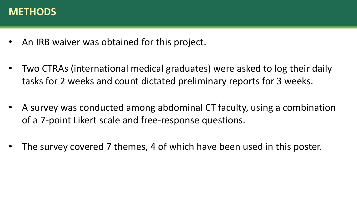### **METHODS**

- An IRB waiver was obtained for this project.
- Two CTRAs (international medical graduates) were asked to log their daily tasks for 2 weeks and count dictated preliminary reports for 3 weeks.
- A survey was conducted among abdominal CT faculty, using a combination of a 7-point Likert scale and free-response questions.
- The survey covered 7 themes, 4 of which have been used in this poster.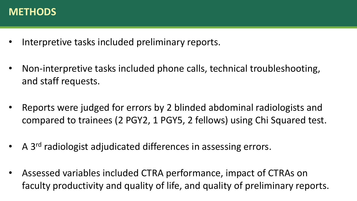### **METHODS**

- Interpretive tasks included preliminary reports.
- Non-interpretive tasks included phone calls, technical troubleshooting, and staff requests.
- Reports were judged for errors by 2 blinded abdominal radiologists and compared to trainees (2 PGY2, 1 PGY5, 2 fellows) using Chi Squared test.
- A 3<sup>rd</sup> radiologist adjudicated differences in assessing errors.
- Assessed variables included CTRA performance, impact of CTRAs on faculty productivity and quality of life, and quality of preliminary reports.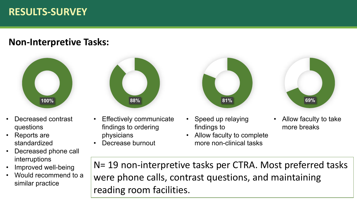# **RESULTS-SURVEY**

#### **Non-Interpretive Tasks:**



- Decreased contrast questions
- Reports are standardized
- Decreased phone call interruptions
- Improved well-being
- Would recommend to a similar practice



- Effectively communicate findings to ordering physicians
- Decrease burnout



- Speed up relaying findings to
- Allow faculty to complete more non-clinical tasks



• Allow faculty to take more breaks

N= 19 non-interpretive tasks per CTRA. Most preferred tasks were phone calls, contrast questions, and maintaining reading room facilities.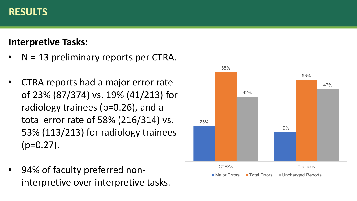## **RESULTS**

## **Interpretive Tasks:**

- $N = 13$  preliminary reports per CTRA.
- CTRA reports had a major error rate of 23% (87/374) vs. 19% (41/213) for radiology trainees (p=0.26), and a total error rate of 58% (216/314) vs. 53% (113/213) for radiology trainees  $(p=0.27)$ .
- 94% of faculty preferred noninterpretive over interpretive tasks.

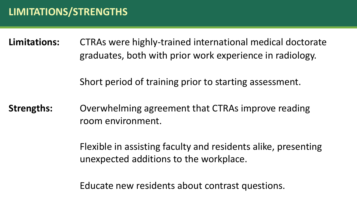**Limitations:** CTRAs were highly-trained international medical doctorate graduates, both with prior work experience in radiology.

Short period of training prior to starting assessment.

**Strengths:** Overwhelming agreement that CTRAs improve reading room environment.

> Flexible in assisting faculty and residents alike, presenting unexpected additions to the workplace.

Educate new residents about contrast questions.